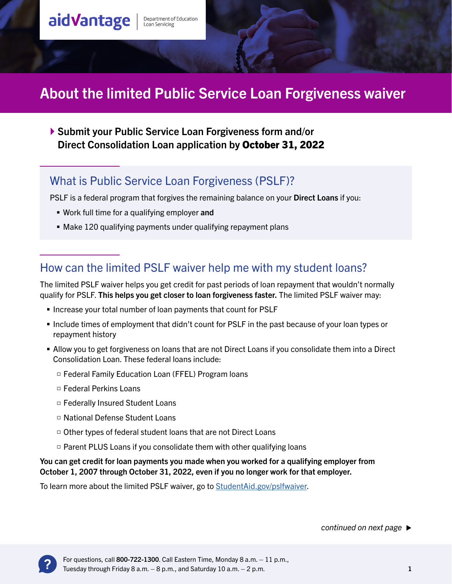# aidVantage

Department of Education<br>Loan Servicing

# About the limited Public Service Loan Forgiveness waiver

 Submit your Public Service Loan Forgiveness form and/or Direct Consolidation Loan application by October 31, 2022

#### What is Public Service Loan Forgiveness (PSLF)?

PSLF is a federal program that forgives the remaining balance on your Direct Loans if you:

- **Work full time for a qualifying employer and**
- Make 120 qualifying payments under qualifying repayment plans

#### How can the limited PSLF waiver help me with my student loans?

The limited PSLF waiver helps you get credit for past periods of loan repayment that wouldn't normally qualify for PSLF. This helps you get closer to loan forgiveness faster. The limited PSLF waiver may:

- **Increase your total number of loan payments that count for PSLF**
- Include times of employment that didn't count for PSLF in the past because of your loan types or repayment history
- Allow you to get forgiveness on loans that are not Direct Loans if you consolidate them into a Direct Consolidation Loan. These federal loans include:
	- □ Federal Family Education Loan (FFEL) Program loans
	- □ Federal Perkins Loans
	- □ Federally Insured Student Loans
	- □ National Defense Student Loans
	- □ Other types of federal student loans that are not Direct Loans
	- □ Parent PLUS Loans if you consolidate them with other qualifying loans

#### You can get credit for loan payments you made when you worked for a qualifying employer from October 1, 2007 through October 31, 2022, even if you no longer work for that employer.

To learn more about the limited PSLF waiver, go to [StudentAid.gov/pslfwaiver.](http://StudentAid.gov/pslfwaiver)

*continued on next page*

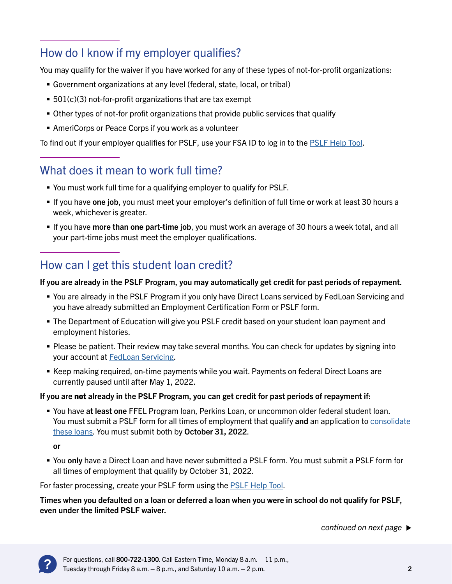## How do I know if my employer qualifies?

You may qualify for the waiver if you have worked for any of these types of not-for-profit organizations:

- Government organizations at any level (federal, state, local, or tribal)
- 501(c)(3) not-for-profit organizations that are tax exempt
- Other types of not-for profit organizations that provide public services that qualify
- AmeriCorps or Peace Corps if you work as a volunteer

To find out if your employer qualifies for PSLF, use your FSA ID to log in to the [PSLF Help Tool](https://studentaid.gov/pslf).

### What does it mean to work full time?

- You must work full time for a qualifying employer to qualify for PSLF.
- If you have one job, you must meet your employer's definition of full time or work at least 30 hours a week, whichever is greater.
- If you have more than one part-time job, you must work an average of 30 hours a week total, and all your part-time jobs must meet the employer qualifications.

#### How can I get this student loan credit?

#### If you are already in the PSLF Program, you may automatically get credit for past periods of repayment.

- You are already in the PSLF Program if you only have Direct Loans serviced by FedLoan Servicing and you have already submitted an Employment Certification Form or PSLF form.
- The Department of Education will give you PSLF credit based on your student loan payment and employment histories.
- Please be patient. Their review may take several months. You can check for updates by signing into your account at [FedLoan Servicing](https://myfedloan.org/).
- Keep making required, on-time payments while you wait. Payments on federal Direct Loans are currently paused until after May 1, 2022.

#### If you are not already in the PSLF Program, you can get credit for past periods of repayment if:

**You have at least one FFEL Program loan, Perkins Loan, or uncommon older federal student loan.** You must submit a PSLF form for all times of employment that qualify and an application to consolidate [these loans.](https://studentaid.gov/manage-loans/consolidation) You must submit both by October 31, 2022.

or

 You only have a Direct Loan and have never submitted a PSLF form. You must submit a PSLF form for all times of employment that qualify by October 31, 2022.

For faster processing, create your PSLF form using the **[PSLF Help Tool.](https://studentaid.gov/pslf)** 

Times when you defaulted on a loan or deferred a loan when you were in school do not qualify for PSLF, even under the limited PSLF waiver.

*continued on next page*